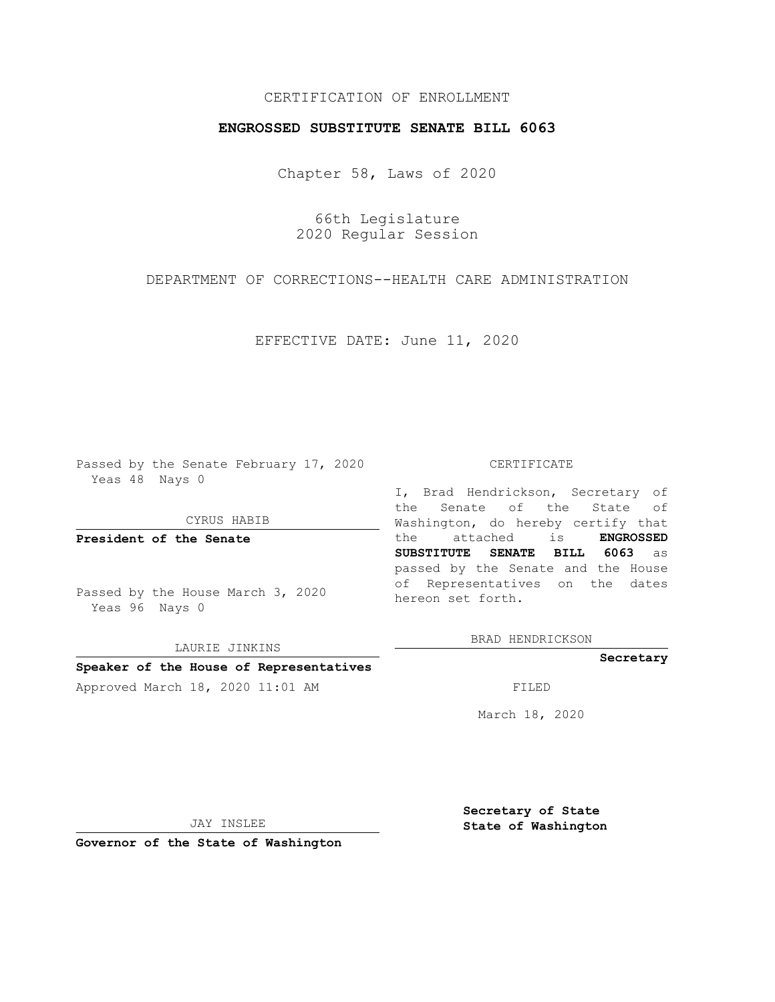# CERTIFICATION OF ENROLLMENT

## **ENGROSSED SUBSTITUTE SENATE BILL 6063**

Chapter 58, Laws of 2020

66th Legislature 2020 Regular Session

DEPARTMENT OF CORRECTIONS--HEALTH CARE ADMINISTRATION

EFFECTIVE DATE: June 11, 2020

Passed by the Senate February 17, 2020 Yeas 48 Nays 0

CYRUS HABIB

**President of the Senate**

Passed by the House March 3, 2020 Yeas 96 Nays 0

LAURIE JINKINS

#### **Speaker of the House of Representatives**

Approved March 18, 2020 11:01 AM FILED

### CERTIFICATE

I, Brad Hendrickson, Secretary of the Senate of the State of Washington, do hereby certify that the attached is **ENGROSSED SUBSTITUTE SENATE BILL 6063** as passed by the Senate and the House of Representatives on the dates hereon set forth.

BRAD HENDRICKSON

**Secretary**

March 18, 2020

JAY INSLEE

**Governor of the State of Washington**

**Secretary of State State of Washington**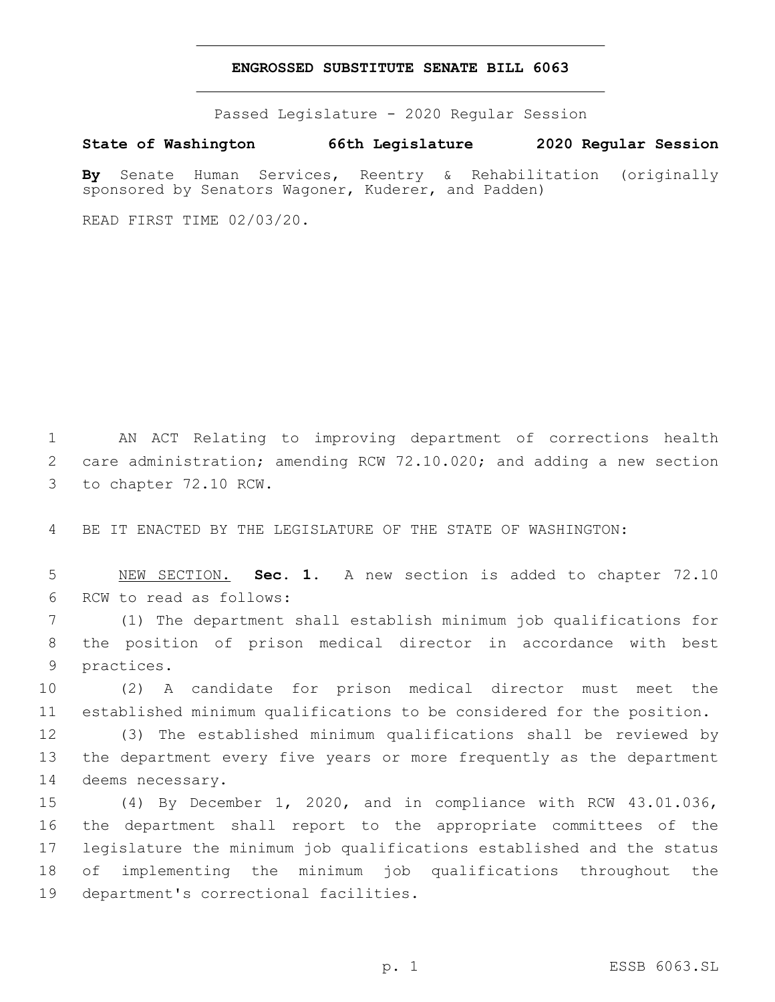### **ENGROSSED SUBSTITUTE SENATE BILL 6063**

Passed Legislature - 2020 Regular Session

**State of Washington 66th Legislature 2020 Regular Session**

**By** Senate Human Services, Reentry & Rehabilitation (originally sponsored by Senators Wagoner, Kuderer, and Padden)

READ FIRST TIME 02/03/20.

1 AN ACT Relating to improving department of corrections health 2 care administration; amending RCW 72.10.020; and adding a new section 3 to chapter 72.10 RCW.

4 BE IT ENACTED BY THE LEGISLATURE OF THE STATE OF WASHINGTON:

5 NEW SECTION. **Sec. 1.** A new section is added to chapter 72.10 6 RCW to read as follows:

7 (1) The department shall establish minimum job qualifications for 8 the position of prison medical director in accordance with best 9 practices.

10 (2) A candidate for prison medical director must meet the 11 established minimum qualifications to be considered for the position.

12 (3) The established minimum qualifications shall be reviewed by 13 the department every five years or more frequently as the department 14 deems necessary.

 (4) By December 1, 2020, and in compliance with RCW 43.01.036, the department shall report to the appropriate committees of the legislature the minimum job qualifications established and the status of implementing the minimum job qualifications throughout the 19 department's correctional facilities.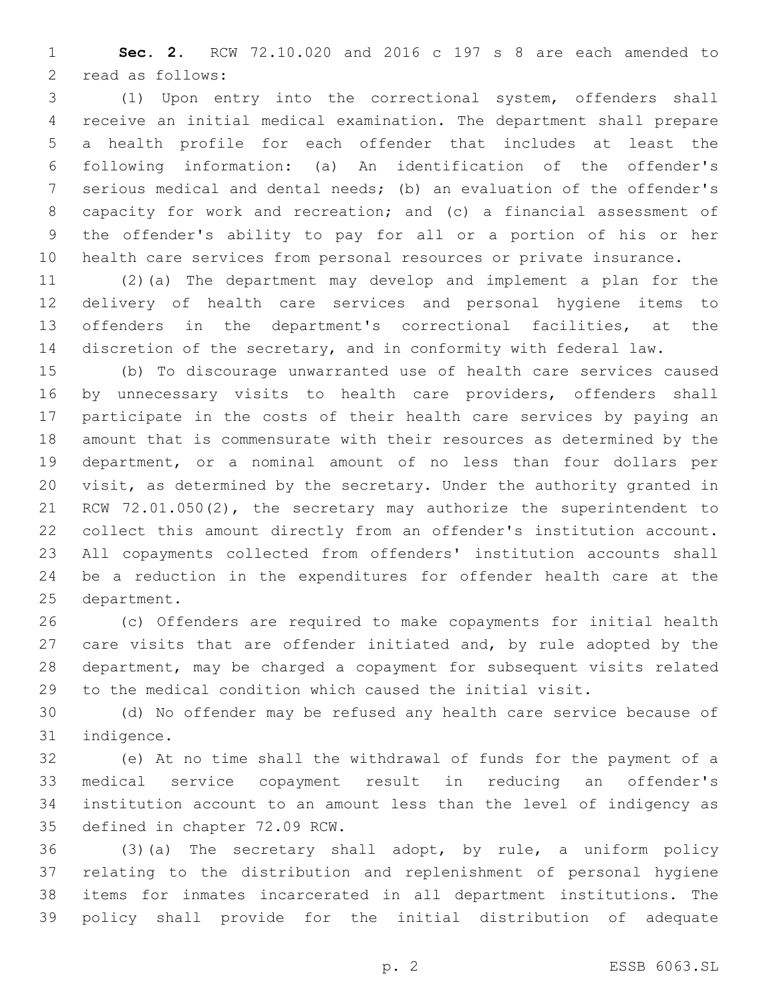**Sec. 2.** RCW 72.10.020 and 2016 c 197 s 8 are each amended to 2 read as follows:

 (1) Upon entry into the correctional system, offenders shall receive an initial medical examination. The department shall prepare a health profile for each offender that includes at least the following information: (a) An identification of the offender's serious medical and dental needs; (b) an evaluation of the offender's capacity for work and recreation; and (c) a financial assessment of the offender's ability to pay for all or a portion of his or her health care services from personal resources or private insurance.

 (2)(a) The department may develop and implement a plan for the delivery of health care services and personal hygiene items to offenders in the department's correctional facilities, at the discretion of the secretary, and in conformity with federal law.

 (b) To discourage unwarranted use of health care services caused 16 by unnecessary visits to health care providers, offenders shall participate in the costs of their health care services by paying an amount that is commensurate with their resources as determined by the department, or a nominal amount of no less than four dollars per visit, as determined by the secretary. Under the authority granted in RCW 72.01.050(2), the secretary may authorize the superintendent to collect this amount directly from an offender's institution account. All copayments collected from offenders' institution accounts shall be a reduction in the expenditures for offender health care at the 25 department.

 (c) Offenders are required to make copayments for initial health care visits that are offender initiated and, by rule adopted by the department, may be charged a copayment for subsequent visits related to the medical condition which caused the initial visit.

 (d) No offender may be refused any health care service because of 31 indigence.

 (e) At no time shall the withdrawal of funds for the payment of a medical service copayment result in reducing an offender's institution account to an amount less than the level of indigency as 35 defined in chapter 72.09 RCW.

 (3)(a) The secretary shall adopt, by rule, a uniform policy relating to the distribution and replenishment of personal hygiene items for inmates incarcerated in all department institutions. The policy shall provide for the initial distribution of adequate